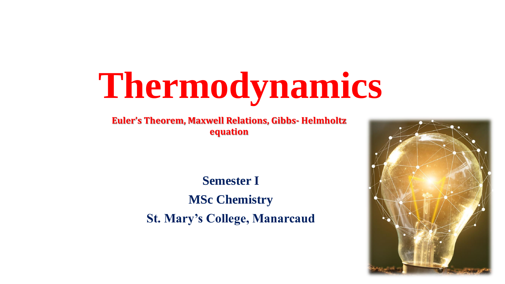# **Thermodynamics**

**Euler's Theorem, Maxwell Relations, Gibbs- Helmholtz equation**

> **Semester I MSc Chemistry St. Mary's College, Manarcaud**

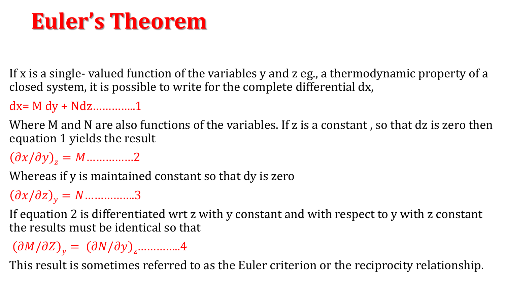## **Euler's Theorem**

If x is a single- valued function of the variables y and z eg., a thermodynamic property of a closed system, it is possible to write for the complete differential dx,

 $dx = M dy + N dz$ ................1

Where M and N are also functions of the variables. If z is a constant , so that dz is zero then equation 1 yields the result

 $\partial x/\partial y\mathbf{)}_z = M$ ...............2

Whereas if y is maintained constant so that dy is zero

 $\partial x/\partial z$ <sub>y</sub> = N ...............3

If equation 2 is differentiated wrt z with y constant and with respect to y with z constant the results must be identical so that

 $\partial M/\partial Z$ <sub>y</sub> =  $(\partial N/\partial y)$ <sub>z</sub>..............4

This result is sometimes referred to as the Euler criterion or the reciprocity relationship.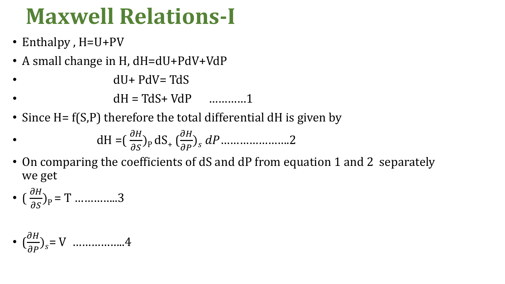## **Maxwell Relations-I**

- Enthalpy , H=U+PV
- A small change in H, dH=dU+PdV+VdP
- $dU+PdV=TdS$
- $dH = TdS + VdP$  …………1
- Since H =  $f(S,P)$  therefore the total differential dH is given by

• dH = 
$$
\left(\frac{\partial H}{\partial S}\right)_P dS_+ \left(\frac{\partial H}{\partial P}\right)_S dP
$$
............2

• On comparing the coefficients of dS and dP from equation 1 and 2 separately we get

• 
$$
\left(\frac{\partial H}{\partial S}\right)_P = T
$$
 .........3

• 
$$
\left(\frac{\partial H}{\partial P}\right)_S = V
$$
 .............4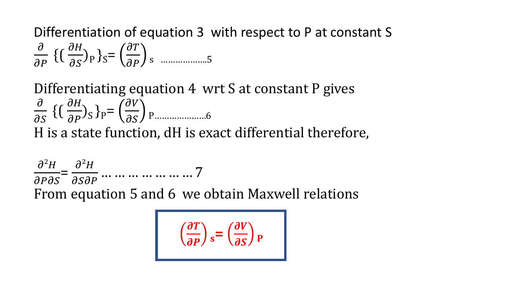Differentiation of equation 3 with respect to P at constant S  $\partial$  $\partial P$  $\{\left(\frac{\partial H}{\partial c}\right)$  $\partial S$  ${e}$ <sub>p</sub> ${e}$ <sub>s</sub>=  $\partial T$  $\overline{\partial P}$  s ......................5

Differentiating equation 4 wrt S at constant P gives  $\partial$  $\partial S$  $\{\left(\frac{\partial H}{\partial R}\right)$  $\frac{\partial H}{\partial P}$ )<sub>S</sub> }<sub>P</sub>=  $\partial V$  P…………………6 H is a state function, dH is exact differential therefore,

 $\partial^2 H$  $\partial P \partial S$ =  $\partial^2 H$  $\partial \mathcal{S} \partial P$ … … … … … … … 7 From equation 5 and 6 we obtain Maxwell relations

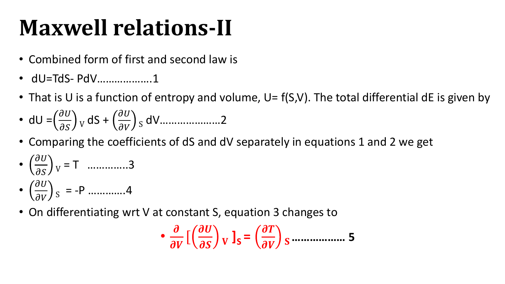# **Maxwell relations-II**

- Combined form of first and second law is
- dU=TdS- PdV……………….1
- That is U is a function of entropy and volume,  $U = f(S, V)$ . The total differential dE is given by
- dU =  $\left(\frac{\partial U}{\partial s}\right)$  $\frac{\partial C}{\partial S}$  y dS +  $\partial U$  $\frac{\partial v}{\partial v}$  s dV…………………2
- Comparing the coefficients of dS and dV separately in equations 1 and 2 we get
- $\partial U$  $\left(\frac{\partial v}{\partial S}\right)_V$  = T ………….3
- $\partial U$  $\left(\frac{\partial v}{\partial V}\right)_S$  = -P .............4
- On differentiating wrt V at constant S, equation 3 changes to

$$
\bullet \frac{\partial}{\partial V} \left[ \left( \frac{\partial U}{\partial S} \right)_V \right]_S = \left( \frac{\partial T}{\partial V} \right)_S
$$
............ 5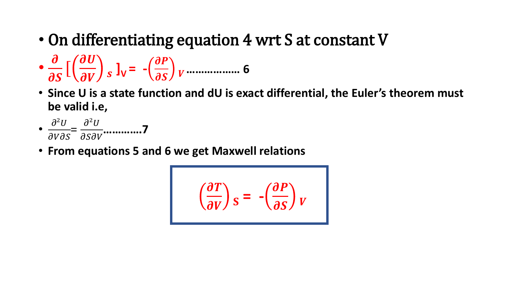• On differentiating equation 4 wrt S at constant V

• [ **]V = - ……………… 6**

• **Since U is a state function and dU is exact differential, the Euler's theorem must be valid i.e,**

• 
$$
\frac{\partial^2 U}{\partial V \partial S} = \frac{\partial^2 U}{\partial S \partial V}
$$
............7

• **From equations 5 and 6 we get Maxwell relations** 

$$
\left(\frac{\partial T}{\partial V}\right)_S = -\left(\frac{\partial P}{\partial S}\right)_V
$$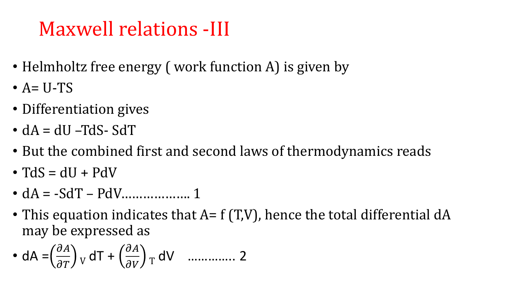#### Maxwell relations -III

- Helmholtz free energy (work function A) is given by
- $\bullet$  A= U-TS
- Differentiation gives
- $\bullet$  dA = dU –TdS- SdT
- But the combined first and second laws of thermodynamics reads
- $\bullet$  TdS = dU + PdV
- dA = -SdT PdV………………. 1
- This equation indicates that  $A = f(T,V)$ , hence the total differential dA may be expressed as

• dA = 
$$
\left(\frac{\partial A}{\partial T}\right)_V dT + \left(\frac{\partial A}{\partial V}\right)_T dV
$$
 ....... 2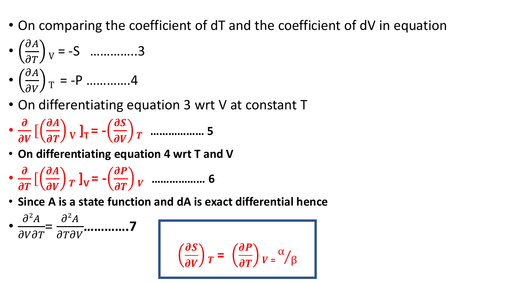- On comparing the coefficient of dT and the coefficient of dV in equation
- $\partial A$  $\left(\frac{\partial A}{\partial T}\right)_V = -S$  ………….3

$$
\bullet \left(\frac{\partial A}{\partial V}\right)_T = -P \quad ....... \quad .4
$$

- On differentiating equation 3 wrt V at constant T
- $\boldsymbol{\partial}$  $\frac{\partial}{\partial V}$  [  $\partial A$  $\left(\frac{\partial A}{\partial T}\right)$  **V**  $\mathbf{l}_T$  = - $\partial S$  $\frac{\partial}{\partial V}$   $\int$  minimum. 5
- **On differentiating equation 4 wrt T and V**
- $\boldsymbol{\partial}$  $\frac{\sigma}{\partial T}$  [  $\partial A$  $\left(\frac{\partial H}{\partial V}\right)_T$ **]**<sub>V</sub> = - $\partial P$ **……………… 6**
- **Since A is a state function and dA is exact differential hence**

•  $\partial^2 A$  $\partial V \partial T$ =  $\partial^2 A$  $\partial T \partial V$ **………….7**

$$
\left(\frac{\partial S}{\partial V}\right)_T = \left(\frac{\partial P}{\partial T}\right)_V = \frac{\alpha}{\beta}
$$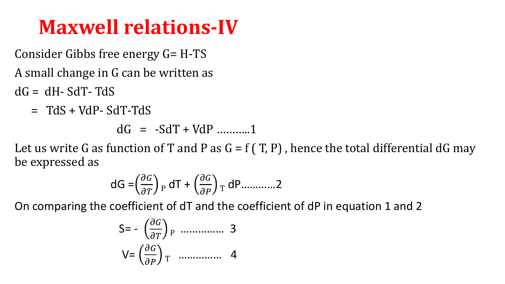#### **Maxwell relations-IV**

Consider Gibbs free energy G= H-TS

A small change in G can be written as

- $dG = dH SdT TdS$ 
	- $=$  TdS + VdP- SdT-TdS

dG = -SdT + VdP ………..1

Let us write G as function of T and P as  $G = f(T, P)$ , hence the total differential dG may be expressed as

$$
dG = \left(\frac{\partial G}{\partial T}\right)_P dT + \left(\frac{\partial G}{\partial P}\right)_T dP
$$
............2

On comparing the coefficient of dT and the coefficient of dP in equation 1 and 2

$$
S = -\left(\frac{\partial G}{\partial T}\right)_{P}
$$
............ 3  

$$
V = \left(\frac{\partial G}{\partial P}\right)_{T}
$$
............ 4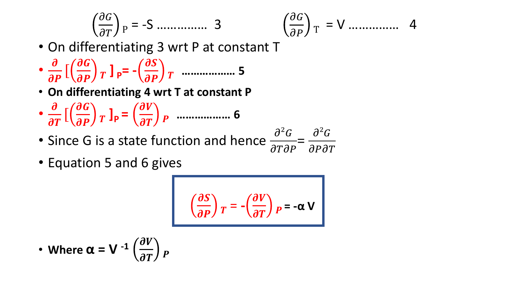<sup>P</sup> = -S …………… 3

$$
\left(\frac{\partial G}{\partial P}\right)_T = V \dots \dots \dots \dots \dots \quad 4
$$

- On differentiating 3 wrt P at constant T
- $\boldsymbol{\partial}$  $\frac{\partial}{\partial P}$  [  $\partial G$  $\left(\frac{\partial a}{\partial P}\right)T$  ] p= - $\partial S$  $\frac{\partial P}{\partial P}$   $\int$   $\ldots$   $\ldots$   $\ldots$   $\ldots$  5
- **On differentiating 4 wrt T at constant P**
- $\boldsymbol{\partial}$  $\frac{\sigma}{\partial T}$  [  $\partial G$  $\left(\frac{\partial q}{\partial P}\right)T$   $\left|P\right| =$  $\partial V$ **……………… 6**
- Since G is a state function and hence  $\frac{\partial^2 G}{\partial T \partial \theta}$  $\partial T \partial P$ =  $\partial^2 G$  $\partial P \partial T$
- Equation 5 and 6 gives

$$
\left(\frac{\partial S}{\partial P}\right)_T = -\left(\frac{\partial V}{\partial T}\right)_P = -\alpha V
$$

• Where 
$$
\alpha = V^{-1} \left( \frac{\partial V}{\partial T} \right) p
$$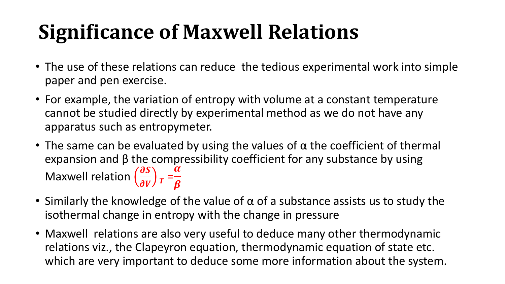## **Significance of Maxwell Relations**

- The use of these relations can reduce the tedious experimental work into simple paper and pen exercise.
- For example, the variation of entropy with volume at a constant temperature cannot be studied directly by experimental method as we do not have any apparatus such as entropymeter.
- The same can be evaluated by using the values of  $\alpha$  the coefficient of thermal expansion and  $\beta$  the compressibility coefficient for any substance by using Maxwell relation  $\left(\frac{\partial S}{\partial V}\right)$  $\frac{\partial S}{\partial V}$   $\bigg)$   $T =$  $\alpha$  $\boldsymbol{\beta}$
- Similarly the knowledge of the value of  $\alpha$  of a substance assists us to study the isothermal change in entropy with the change in pressure
- Maxwell relations are also very useful to deduce many other thermodynamic relations viz., the Clapeyron equation, thermodynamic equation of state etc. which are very important to deduce some more information about the system.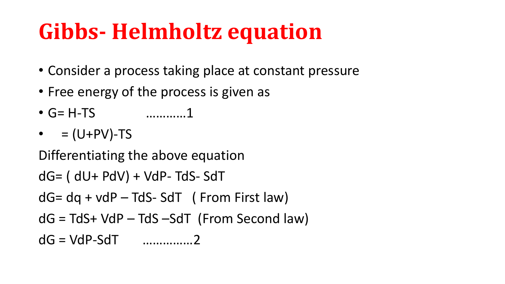# **Gibbs- Helmholtz equation**

- Consider a process taking place at constant pressure
- Free energy of the process is given as
- G= H-TS …………1
- $\bullet$  = (U+PV)-TS

Differentiating the above equation

```
dG= ( dU+ PdV) + VdP- TdS- SdT
```
 $dG = dq + v dP - TdS - SdT$  (From First law)

 $dG = TdS + VdP - TdS - SdT$  (From Second law)

```
dG = VdP-SdT ……………2
```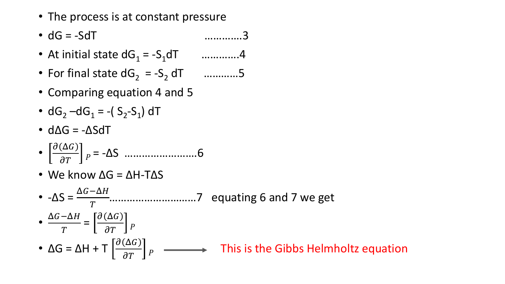- The process is at constant pressure
- $dG = -SdT$  ………….3
- At initial state  $dG_1 = -S_1dT$  …………..4
- For final state  $dG_2 = -S_2 dT$  …………5
- Comparing equation 4 and 5
- $dG_2 dG_1 = -(S_2-S_1) dT$
- $d\Delta G = -\Delta S dT$
- $\partial (\Delta G$ = -ΔS …………………….6
- We know  $\Delta G = \Delta H$ -T $\Delta S$

•  $-\Delta S = \frac{\Delta G - \Delta H}{T}$  $\overline{T}$ …………………………7 equating 6 and 7 we get •  $\Delta G-\Delta H$  $\overline{T}$ =  $\partial (\Delta G$  $\overline{\partial T}$   $\bigcup P$ •  $\Delta G = \Delta H + T \left[ \frac{\partial (\Delta G)}{\partial T} \right]$  $\overline{\partial T}$   $\bigcup P$ This is the Gibbs Helmholtz equation